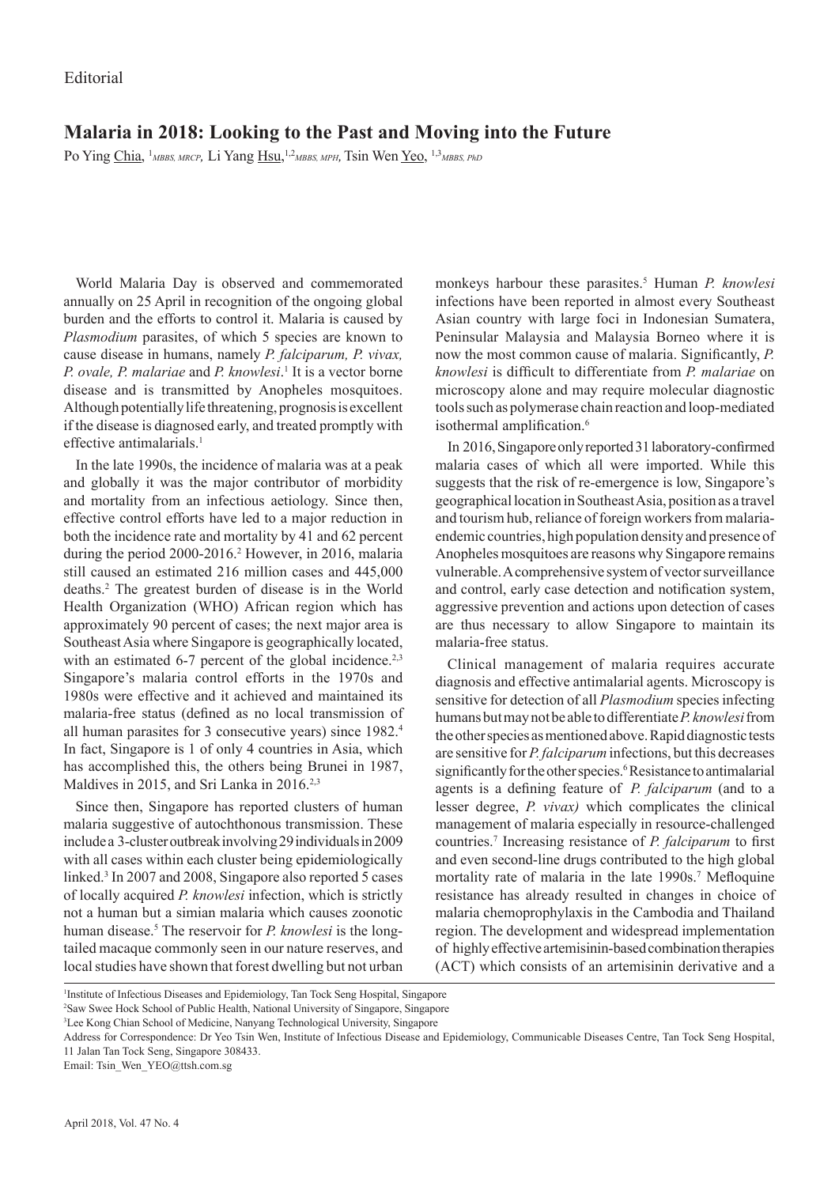## **Malaria in 2018: Looking to the Past and Moving into the Future**

Po Ying Chia, <sup>1</sup>MBBS, MRCP, Li Yang Hsu, <sup>1,2</sup>MBBS, MPH, Tsin Wen Yeo, <sup>1,3</sup>MBBS, PhD

World Malaria Day is observed and commemorated annually on 25 April in recognition of the ongoing global burden and the efforts to control it. Malaria is caused by *Plasmodium* parasites, of which 5 species are known to cause disease in humans, namely *P. falciparum, P. vivax, P. ovale, P. malariae* and *P. knowlesi*. 1 It is a vector borne disease and is transmitted by Anopheles mosquitoes. Although potentially life threatening, prognosis is excellent if the disease is diagnosed early, and treated promptly with effective antimalarials $<sup>1</sup>$ </sup>

In the late 1990s, the incidence of malaria was at a peak and globally it was the major contributor of morbidity and mortality from an infectious aetiology. Since then, effective control efforts have led to a major reduction in both the incidence rate and mortality by 41 and 62 percent during the period 2000-2016.<sup>2</sup> However, in 2016, malaria still caused an estimated 216 million cases and 445,000 deaths.2 The greatest burden of disease is in the World Health Organization (WHO) African region which has approximately 90 percent of cases; the next major area is Southeast Asia where Singapore is geographically located, with an estimated 6-7 percent of the global incidence.<sup>2,3</sup> Singapore's malaria control efforts in the 1970s and 1980s were effective and it achieved and maintained its malaria-free status (defined as no local transmission of all human parasites for 3 consecutive years) since 1982.4 In fact, Singapore is 1 of only 4 countries in Asia, which has accomplished this, the others being Brunei in 1987, Maldives in 2015, and Sri Lanka in 2016.<sup>2,3</sup>

Since then, Singapore has reported clusters of human malaria suggestive of autochthonous transmission. These include a 3-cluster outbreak involving 29 individuals in 2009 with all cases within each cluster being epidemiologically linked.<sup>3</sup> In 2007 and 2008, Singapore also reported 5 cases of locally acquired *P. knowlesi* infection, which is strictly not a human but a simian malaria which causes zoonotic human disease.5 The reservoir for *P. knowlesi* is the longtailed macaque commonly seen in our nature reserves, and local studies have shown that forest dwelling but not urban

monkeys harbour these parasites.5 Human *P. knowlesi* infections have been reported in almost every Southeast Asian country with large foci in Indonesian Sumatera, Peninsular Malaysia and Malaysia Borneo where it is now the most common cause of malaria. Significantly, *P. knowlesi* is difficult to differentiate from *P. malariae* on microscopy alone and may require molecular diagnostic tools such as polymerase chain reaction and loop-mediated isothermal amplification.<sup>6</sup>

In 2016, Singapore only reported 31 laboratory-confirmed malaria cases of which all were imported. While this suggests that the risk of re-emergence is low, Singapore's geographical location in Southeast Asia, position as a travel and tourism hub, reliance of foreign workers from malariaendemic countries, high population density and presence of Anopheles mosquitoes are reasons why Singapore remains vulnerable. A comprehensive system of vector surveillance and control, early case detection and notification system, aggressive prevention and actions upon detection of cases are thus necessary to allow Singapore to maintain its malaria-free status.

Clinical management of malaria requires accurate diagnosis and effective antimalarial agents. Microscopy is sensitive for detection of all *Plasmodium* species infecting humans but may not be able to differentiate *P. knowlesi* from the other species as mentioned above. Rapid diagnostic tests are sensitive for *P. falciparum* infections, but this decreases significantly for the other species.<sup>6</sup> Resistance to antimalarial agents is a defining feature of  *P. falciparum* (and to a lesser degree, *P. vivax)* which complicates the clinical management of malaria especially in resource-challenged countries.7 Increasing resistance of *P. falciparum* to first and even second-line drugs contributed to the high global mortality rate of malaria in the late 1990s.<sup>7</sup> Mefloquine resistance has already resulted in changes in choice of malaria chemoprophylaxis in the Cambodia and Thailand region. The development and widespread implementation of highly effective artemisinin-based combination therapies (ACT) which consists of an artemisinin derivative and a

Email: Tsin\_Wen\_YEO@ttsh.com.sg

<sup>1</sup> Institute of Infectious Diseases and Epidemiology, Tan Tock Seng Hospital, Singapore

<sup>2</sup> Saw Swee Hock School of Public Health, National University of Singapore, Singapore

<sup>3</sup> Lee Kong Chian School of Medicine, Nanyang Technological University, Singapore

Address for Correspondence: Dr Yeo Tsin Wen, Institute of Infectious Disease and Epidemiology, Communicable Diseases Centre, Tan Tock Seng Hospital, 11 Jalan Tan Tock Seng, Singapore 308433.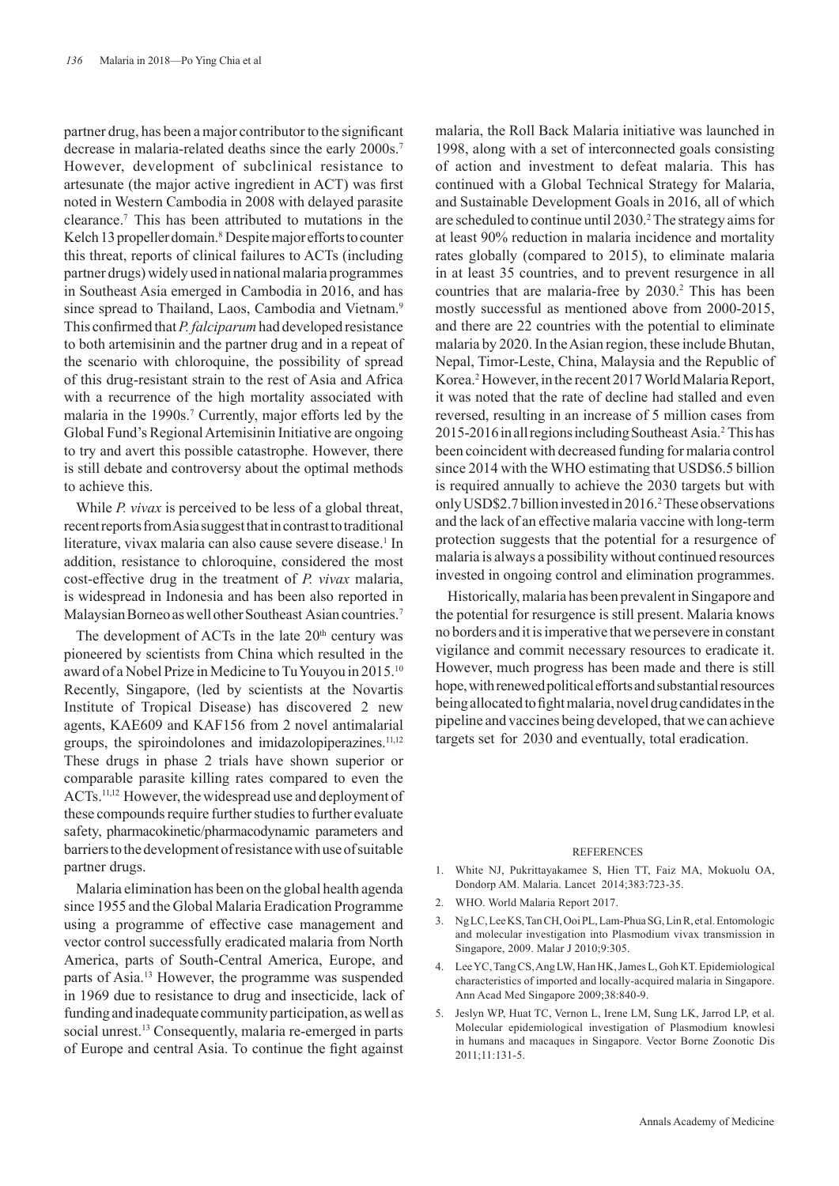partner drug, has been a major contributor to the significant decrease in malaria-related deaths since the early 2000s.<sup>7</sup> However, development of subclinical resistance to artesunate (the major active ingredient in ACT) was first noted in Western Cambodia in 2008 with delayed parasite clearance.7 This has been attributed to mutations in the Kelch 13 propeller domain.<sup>8</sup> Despite major efforts to counter this threat, reports of clinical failures to ACTs (including partner drugs) widely used in national malaria programmes in Southeast Asia emerged in Cambodia in 2016, and has since spread to Thailand, Laos, Cambodia and Vietnam.<sup>9</sup> This confirmed that *P. falciparum* had developed resistance to both artemisinin and the partner drug and in a repeat of the scenario with chloroquine, the possibility of spread of this drug-resistant strain to the rest of Asia and Africa with a recurrence of the high mortality associated with malaria in the 1990s.7 Currently, major efforts led by the Global Fund's Regional Artemisinin Initiative are ongoing to try and avert this possible catastrophe. However, there is still debate and controversy about the optimal methods to achieve this.

While *P. vivax* is perceived to be less of a global threat, recent reports from Asia suggest that in contrast to traditional literature, vivax malaria can also cause severe disease.<sup>1</sup> In addition, resistance to chloroquine, considered the most cost-effective drug in the treatment of *P. vivax* malaria, is widespread in Indonesia and has been also reported in Malaysian Borneo as well other Southeast Asian countries.7

The development of ACTs in the late  $20<sup>th</sup>$  century was pioneered by scientists from China which resulted in the award of a Nobel Prize in Medicine to Tu Youyou in 2015.10 Recently, Singapore, (led by scientists at the Novartis Institute of Tropical Disease) has discovered 2 new agents, KAE609 and KAF156 from 2 novel antimalarial groups, the spiroindolones and imidazolopiperazines.<sup>11,12</sup> These drugs in phase 2 trials have shown superior or comparable parasite killing rates compared to even the ACTs.11,12 However, the widespread use and deployment of these compounds require further studies to further evaluate safety, pharmacokinetic/pharmacodynamic parameters and barriers to the development of resistance with use of suitable partner drugs.

Malaria elimination has been on the global health agenda since 1955 and the Global Malaria Eradication Programme using a programme of effective case management and vector control successfully eradicated malaria from North America, parts of South-Central America, Europe, and parts of Asia.<sup>13</sup> However, the programme was suspended in 1969 due to resistance to drug and insecticide, lack of funding and inadequate community participation, as well as social unrest.<sup>13</sup> Consequently, malaria re-emerged in parts of Europe and central Asia. To continue the fight against

malaria, the Roll Back Malaria initiative was launched in 1998, along with a set of interconnected goals consisting of action and investment to defeat malaria. This has continued with a Global Technical Strategy for Malaria, and Sustainable Development Goals in 2016, all of which are scheduled to continue until 2030.<sup>2</sup> The strategy aims for at least 90% reduction in malaria incidence and mortality rates globally (compared to 2015), to eliminate malaria in at least 35 countries, and to prevent resurgence in all countries that are malaria-free by 2030.<sup>2</sup> This has been mostly successful as mentioned above from 2000-2015, and there are 22 countries with the potential to eliminate malaria by 2020. In the Asian region, these include Bhutan, Nepal, Timor-Leste, China, Malaysia and the Republic of Korea.2 However, in the recent 2017 World Malaria Report, it was noted that the rate of decline had stalled and even reversed, resulting in an increase of 5 million cases from 2015-2016 in all regions including Southeast Asia.2 This has been coincident with decreased funding for malaria control since 2014 with the WHO estimating that USD\$6.5 billion is required annually to achieve the 2030 targets but with only USD\$2.7 billion invested in 2016.2 These observations and the lack of an effective malaria vaccine with long-term protection suggests that the potential for a resurgence of malaria is always a possibility without continued resources invested in ongoing control and elimination programmes.

Historically, malaria has been prevalent in Singapore and the potential for resurgence is still present. Malaria knows no borders and it is imperative that we persevere in constant vigilance and commit necessary resources to eradicate it. However, much progress has been made and there is still hope, with renewed political efforts and substantial resources being allocated to fight malaria, novel drug candidates in the pipeline and vaccines being developed, that we can achieve targets set for 2030 and eventually, total eradication.

## **REFERENCES**

- 1. White NJ, Pukrittayakamee S, Hien TT, Faiz MA, Mokuolu OA, Dondorp AM. Malaria. Lancet 2014;383:723-35.
- 2. WHO. World Malaria Report 2017.
- 3. Ng LC, Lee KS, Tan CH, Ooi PL, Lam-Phua SG, Lin R, et al. Entomologic and molecular investigation into Plasmodium vivax transmission in Singapore, 2009. Malar J 2010;9:305.
- 4. Lee YC, Tang CS, Ang LW, Han HK, James L, Goh KT. Epidemiological characteristics of imported and locally-acquired malaria in Singapore. Ann Acad Med Singapore 2009;38:840-9.
- 5. Jeslyn WP, Huat TC, Vernon L, Irene LM, Sung LK, Jarrod LP, et al. Molecular epidemiological investigation of Plasmodium knowlesi in humans and macaques in Singapore. Vector Borne Zoonotic Dis 2011;11:131-5.